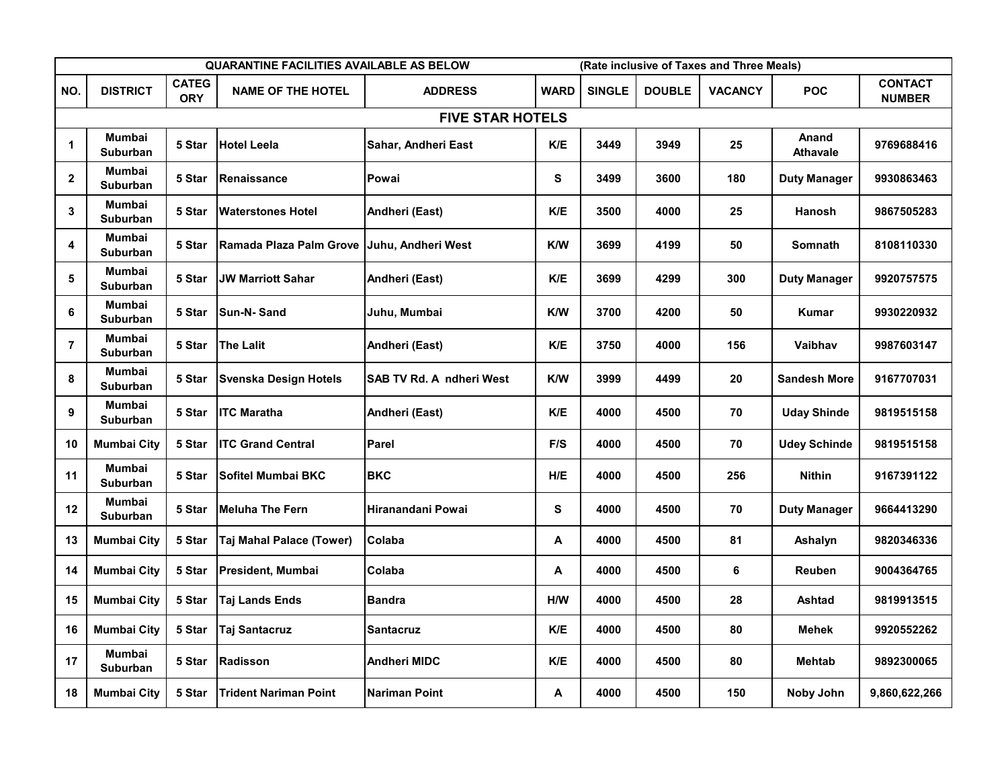|                |                                  |                            | QUARANTINE FACILITIES AVAILABLE AS BELOW    |                                 |             |               |               | (Rate inclusive of Taxes and Three Meals) |                          |                                 |
|----------------|----------------------------------|----------------------------|---------------------------------------------|---------------------------------|-------------|---------------|---------------|-------------------------------------------|--------------------------|---------------------------------|
| NO.            | <b>DISTRICT</b>                  | <b>CATEG</b><br><b>ORY</b> | <b>NAME OF THE HOTEL</b>                    | <b>ADDRESS</b>                  | <b>WARD</b> | <b>SINGLE</b> | <b>DOUBLE</b> | <b>VACANCY</b>                            | <b>POC</b>               | <b>CONTACT</b><br><b>NUMBER</b> |
|                |                                  |                            |                                             | <b>FIVE STAR HOTELS</b>         |             |               |               |                                           |                          |                                 |
| $\mathbf{1}$   | <b>Mumbai</b><br><b>Suburban</b> | 5 Star                     | <b>Hotel Leela</b>                          | Sahar, Andheri East             | K/E         | 3449          | 3949          | 25                                        | Anand<br><b>Athavale</b> | 9769688416                      |
| $\mathbf 2$    | <b>Mumbai</b><br>Suburban        | 5 Star                     | Renaissance                                 | Powai                           | S           | 3499          | 3600          | 180                                       | Duty Manager             | 9930863463                      |
| 3              | <b>Mumbai</b><br><b>Suburban</b> | 5 Star                     | <b>Waterstones Hotel</b>                    | Andheri (East)                  | K/E         | 3500          | 4000          | 25                                        | <b>Hanosh</b>            | 9867505283                      |
| 4              | <b>Mumbai</b><br>Suburban        | 5 Star                     | Ramada Plaza Palm Grove  Juhu, Andheri West |                                 | <b>K/W</b>  | 3699          | 4199          | 50                                        | Somnath                  | 8108110330                      |
| 5              | <b>Mumbai</b><br>Suburban        | 5 Star                     | <b>JW Marriott Sahar</b>                    | Andheri (East)                  | K/E         | 3699          | 4299          | 300                                       | <b>Duty Manager</b>      | 9920757575                      |
| 6              | <b>Mumbai</b><br>Suburban        | 5 Star                     | <b>Sun-N-Sand</b>                           | Juhu, Mumbai                    | <b>K/W</b>  | 3700          | 4200          | 50                                        | Kumar                    | 9930220932                      |
| $\overline{7}$ | <b>Mumbai</b><br>Suburban        | 5 Star                     | The Lalit                                   | Andheri (East)                  | K/E         | 3750          | 4000          | 156                                       | Vaibhav                  | 9987603147                      |
| 8              | <b>Mumbai</b><br><b>Suburban</b> | 5 Star                     | <b>Svenska Design Hotels</b>                | <b>SAB TV Rd. A ndheri West</b> | <b>K/W</b>  | 3999          | 4499          | 20                                        | <b>Sandesh More</b>      | 9167707031                      |
| 9              | Mumbai<br>Suburban               | 5 Star                     | <b>ITC Maratha</b>                          | Andheri (East)                  | K/E         | 4000          | 4500          | 70                                        | <b>Uday Shinde</b>       | 9819515158                      |
| 10             | <b>Mumbai City</b>               | 5 Star                     | <b>ITC Grand Central</b>                    | Parel                           | F/S         | 4000          | 4500          | 70                                        | <b>Udey Schinde</b>      | 9819515158                      |
| 11             | Mumbai<br>Suburban               | 5 Star                     | <b>Sofitel Mumbai BKC</b>                   | <b>BKC</b>                      | H/E         | 4000          | 4500          | 256                                       | <b>Nithin</b>            | 9167391122                      |
| 12             | Mumbai<br><b>Suburban</b>        | 5 Star                     | <b>Meluha The Fern</b>                      | Hiranandani Powai               | S           | 4000          | 4500          | 70                                        | <b>Duty Manager</b>      | 9664413290                      |
| 13             | <b>Mumbai City</b>               | 5 Star                     | Taj Mahal Palace (Tower)                    | Colaba                          | Α           | 4000          | 4500          | 81                                        | Ashalyn                  | 9820346336                      |
| 14             | <b>Mumbai City</b>               | 5 Star                     | President, Mumbai                           | Colaba                          | А           | 4000          | 4500          | 6                                         | <b>Reuben</b>            | 9004364765                      |
| 15             | <b>Mumbai City</b>               | 5 Star                     | <b>Taj Lands Ends</b>                       | <b>Bandra</b>                   | H/W         | 4000          | 4500          | 28                                        | Ashtad                   | 9819913515                      |
| 16             | <b>Mumbai City</b>               | 5 Star                     | <b>Taj Santacruz</b>                        | <b>Santacruz</b>                | K/E         | 4000          | 4500          | 80                                        | <b>Mehek</b>             | 9920552262                      |
| 17             | Mumbai<br><b>Suburban</b>        | 5 Star                     | Radisson                                    | <b>Andheri MIDC</b>             | K/E         | 4000          | 4500          | 80                                        | <b>Mehtab</b>            | 9892300065                      |
| 18             | <b>Mumbai City</b>               | 5 Star                     | <b>Trident Nariman Point</b>                | <b>Nariman Point</b>            | А           | 4000          | 4500          | 150                                       | Noby John                | 9,860,622,266                   |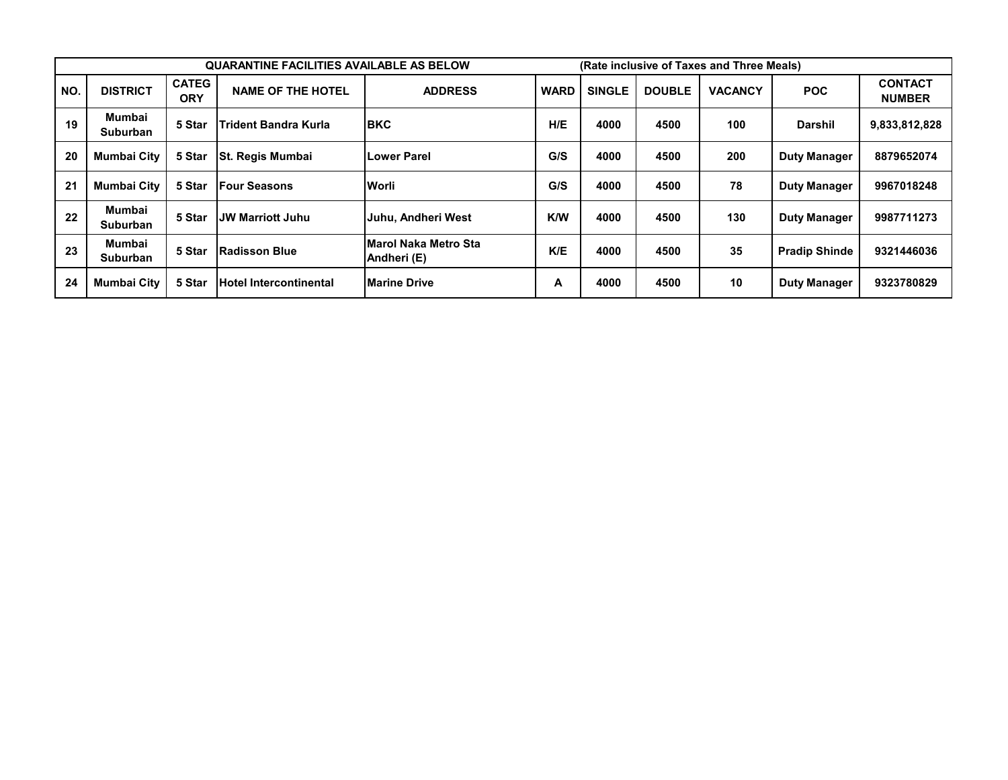|     |                           |                            | <b>QUARANTINE FACILITIES AVAILABLE AS BELOW</b> |                                     |             |               |               | (Rate inclusive of Taxes and Three Meals) |                      |                                 |
|-----|---------------------------|----------------------------|-------------------------------------------------|-------------------------------------|-------------|---------------|---------------|-------------------------------------------|----------------------|---------------------------------|
| NO. | <b>DISTRICT</b>           | <b>CATEG</b><br><b>ORY</b> | <b>NAME OF THE HOTEL</b>                        | <b>ADDRESS</b>                      | <b>WARD</b> | <b>SINGLE</b> | <b>DOUBLE</b> | <b>VACANCY</b>                            | <b>POC</b>           | <b>CONTACT</b><br><b>NUMBER</b> |
| 19  | Mumbai<br><b>Suburban</b> | 5 Star                     | <b>Trident Bandra Kurla</b>                     | <b>IBKC</b>                         | H/E         | 4000          | 4500          | 100                                       | Darshil              | 9,833,812,828                   |
| 20  | <b>Mumbai City</b>        | 5 Star                     | <b>St. Regis Mumbai</b>                         | Lower Parel                         | G/S         | 4000          | 4500          | 200                                       | <b>Duty Manager</b>  | 8879652074                      |
| 21  | <b>Mumbai City</b>        | 5 Star                     | <b>Four Seasons</b>                             | <b>Worli</b>                        | G/S         | 4000          | 4500          | 78                                        | <b>Duty Manager</b>  | 9967018248                      |
| 22  | Mumbai<br><b>Suburban</b> | 5 Star                     | JW Marriott Juhu                                | <b>Juhu, Andheri West</b>           | <b>K/W</b>  | 4000          | 4500          | 130                                       | <b>Duty Manager</b>  | 9987711273                      |
| 23  | Mumbai<br><b>Suburban</b> | 5 Star                     | <b>Radisson Blue</b>                            | Marol Naka Metro Sta<br>Andheri (E) | K/E         | 4000          | 4500          | 35                                        | <b>Pradip Shinde</b> | 9321446036                      |
| 24  | <b>Mumbai City</b>        | 5 Star                     | <b>Hotel Intercontinental</b>                   | <b>IMarine Drive</b>                | A           | 4000          | 4500          | 10                                        | <b>Duty Manager</b>  | 9323780829                      |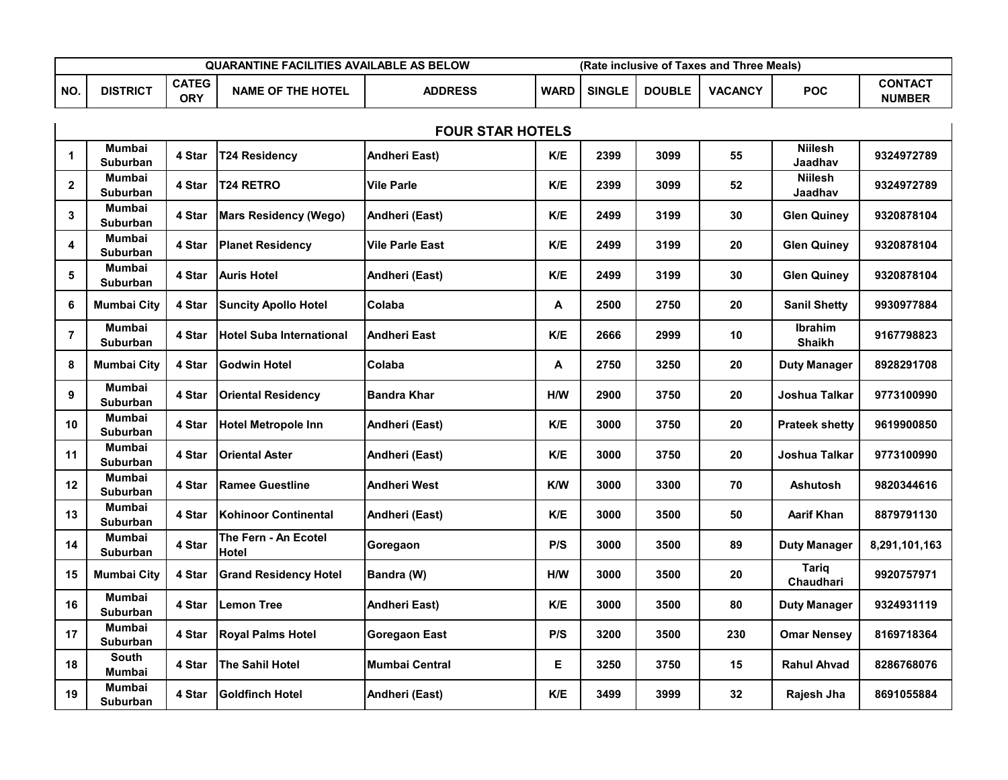|     |                 |                     | QUARANTINE FACILITIES AVAILABLE AS BELOW |                | (Rate inclusive of Taxes and Three Meals) |               |               |                |            |                                 |
|-----|-----------------|---------------------|------------------------------------------|----------------|-------------------------------------------|---------------|---------------|----------------|------------|---------------------------------|
| NO. | <b>DISTRICT</b> | <b>CATEG</b><br>ORY | <b>NAME OF THE HOTEL</b>                 | <b>ADDRESS</b> | <b>WARD</b>                               | <b>SINGLE</b> | <b>DOUBLE</b> | <b>VACANCY</b> | <b>POC</b> | <b>CONTACT</b><br><b>NUMBER</b> |

|                | <b>FOUR STAR HOTELS</b><br><b>Niilesh</b><br><b>Mumbai</b> |        |                                      |                        |     |      |      |     |                                  |               |  |  |  |
|----------------|------------------------------------------------------------|--------|--------------------------------------|------------------------|-----|------|------|-----|----------------------------------|---------------|--|--|--|
| 1              | Suburban                                                   | 4 Star | <b>T24 Residency</b>                 | Andheri East)          | K/E | 2399 | 3099 | 55  | Jaadhav                          | 9324972789    |  |  |  |
| $\mathbf{2}$   | Mumbai<br>Suburban                                         | 4 Star | <b>T24 RETRO</b>                     | <b>Vile Parle</b>      | K/E | 2399 | 3099 | 52  | <b>Niilesh</b><br>Jaadhav        | 9324972789    |  |  |  |
| 3              | Mumbai<br>Suburban                                         | 4 Star | <b>Mars Residency (Wego)</b>         | Andheri (East)         | K/E | 2499 | 3199 | 30  | <b>Glen Quiney</b>               | 9320878104    |  |  |  |
| 4              | Mumbai<br>Suburban                                         | 4 Star | <b>Planet Residency</b>              | <b>Vile Parle East</b> | K/E | 2499 | 3199 | 20  | <b>Glen Quiney</b>               | 9320878104    |  |  |  |
| 5              | <b>Mumbai</b><br>Suburban                                  | 4 Star | <b>Auris Hotel</b>                   | Andheri (East)         | K/E | 2499 | 3199 | 30  | <b>Glen Quiney</b>               | 9320878104    |  |  |  |
| 6              | <b>Mumbai City</b>                                         | 4 Star | <b>Suncity Apollo Hotel</b>          | Colaba                 | А   | 2500 | 2750 | 20  | <b>Sanil Shetty</b>              | 9930977884    |  |  |  |
| $\overline{7}$ | Mumbai<br><b>Suburban</b>                                  | 4 Star | <b>Hotel Suba International</b>      | <b>Andheri East</b>    | K/E | 2666 | 2999 | 10  | <b>Ibrahim</b><br><b>Shaikh</b>  | 9167798823    |  |  |  |
| 8              | <b>Mumbai City</b>                                         | 4 Star | <b>Godwin Hotel</b>                  | Colaba                 | А   | 2750 | 3250 | 20  | <b>Duty Manager</b>              | 8928291708    |  |  |  |
| 9              | Mumbai<br><b>Suburban</b>                                  | 4 Star | <b>Oriental Residency</b>            | <b>Bandra Khar</b>     | H/W | 2900 | 3750 | 20  | Joshua Talkar                    | 9773100990    |  |  |  |
| 10             | <b>Mumbai</b><br><b>Suburban</b>                           | 4 Star | <b>Hotel Metropole Inn</b>           | Andheri (East)         | K/E | 3000 | 3750 | 20  | <b>Prateek shetty</b>            | 9619900850    |  |  |  |
| 11             | <b>Mumbai</b><br><b>Suburban</b>                           | 4 Star | <b>Oriental Aster</b>                | Andheri (East)         | K/E | 3000 | 3750 | 20  | Joshua Talkar                    | 9773100990    |  |  |  |
| 12             | Mumbai<br><b>Suburban</b>                                  | 4 Star | <b>Ramee Guestline</b>               | <b>Andheri West</b>    | K/W | 3000 | 3300 | 70  | <b>Ashutosh</b>                  | 9820344616    |  |  |  |
| 13             | Mumbai<br><b>Suburban</b>                                  | 4 Star | <b>Kohinoor Continental</b>          | Andheri (East)         | K/E | 3000 | 3500 | 50  | <b>Aarif Khan</b>                | 8879791130    |  |  |  |
| 14             | Mumbai<br><b>Suburban</b>                                  | 4 Star | The Fern - An Ecotel<br><b>Hotel</b> | Goregaon               | P/S | 3000 | 3500 | 89  | <b>Duty Manager</b>              | 8,291,101,163 |  |  |  |
| 15             | <b>Mumbai City</b>                                         | 4 Star | <b>Grand Residency Hotel</b>         | Bandra (W)             | H/W | 3000 | 3500 | 20  | <b>Tariq</b><br><b>Chaudhari</b> | 9920757971    |  |  |  |
| 16             | <b>Mumbai</b><br><b>Suburban</b>                           | 4 Star | <b>Lemon Tree</b>                    | <b>Andheri East)</b>   | K/E | 3000 | 3500 | 80  | <b>Duty Manager</b>              | 9324931119    |  |  |  |
| 17             | Mumbai<br>Suburban                                         | 4 Star | <b>Royal Palms Hotel</b>             | <b>Goregaon East</b>   | P/S | 3200 | 3500 | 230 | <b>Omar Nensey</b>               | 8169718364    |  |  |  |
| 18             | <b>South</b><br><b>Mumbai</b>                              | 4 Star | The Sahil Hotel                      | <b>Mumbai Central</b>  | E   | 3250 | 3750 | 15  | <b>Rahul Ahvad</b>               | 8286768076    |  |  |  |
| 19             | <b>Mumbai</b><br>Suburban                                  | 4 Star | <b>Goldfinch Hotel</b>               | Andheri (East)         | K/E | 3499 | 3999 | 32  | Rajesh Jha                       | 8691055884    |  |  |  |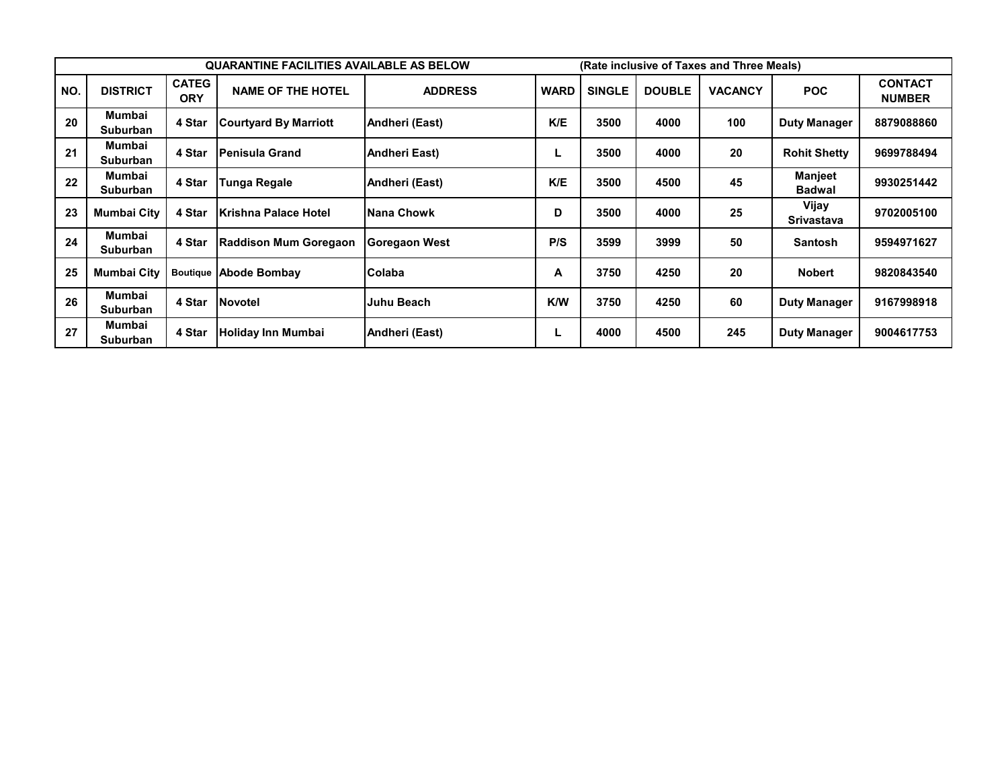|     |                           |                            | <b>QUARANTINE FACILITIES AVAILABLE AS BELOW</b> |                      |             |               |               | (Rate inclusive of Taxes and Three Meals) |                            |                                 |
|-----|---------------------------|----------------------------|-------------------------------------------------|----------------------|-------------|---------------|---------------|-------------------------------------------|----------------------------|---------------------------------|
| NO. | <b>DISTRICT</b>           | <b>CATEG</b><br><b>ORY</b> | <b>NAME OF THE HOTEL</b>                        | <b>ADDRESS</b>       | <b>WARD</b> | <b>SINGLE</b> | <b>DOUBLE</b> | <b>VACANCY</b>                            | <b>POC</b>                 | <b>CONTACT</b><br><b>NUMBER</b> |
| 20  | Mumbai<br><b>Suburban</b> | 4 Star                     | <b>Courtyard By Marriott</b>                    | Andheri (East)       | K/E         | 3500          | 4000          | 100                                       | <b>Duty Manager</b>        | 8879088860                      |
| 21  | Mumbai<br>Suburban        | 4 Star                     | lPenisula Grand                                 | <b>Andheri East)</b> |             | 3500          | 4000          | 20                                        | <b>Rohit Shetty</b>        | 9699788494                      |
| 22  | Mumbai<br><b>Suburban</b> | 4 Star                     | Tunga Regale                                    | Andheri (East)       | K/E         | 3500          | 4500          | 45                                        | Manjeet<br><b>Badwal</b>   | 9930251442                      |
| 23  | <b>Mumbai City</b>        | 4 Star                     | <b>IKrishna Palace Hotel</b>                    | Nana Chowk           | D           | 3500          | 4000          | 25                                        | Vijay<br><b>Srivastava</b> | 9702005100                      |
| 24  | Mumbai<br><b>Suburban</b> | 4 Star                     | <b>Raddison Mum Goregaon</b>                    | Goregaon West        | P/S         | 3599          | 3999          | 50                                        | <b>Santosh</b>             | 9594971627                      |
| 25  | <b>Mumbai City</b>        |                            | <b>Boutique Abode Bombay</b>                    | <b>IColaba</b>       | А           | 3750          | 4250          | 20                                        | <b>Nobert</b>              | 9820843540                      |
| 26  | Mumbai<br><b>Suburban</b> | 4 Star                     | Novotel                                         | Juhu Beach           | <b>K/W</b>  | 3750          | 4250          | 60                                        | <b>Duty Manager</b>        | 9167998918                      |
| 27  | Mumbai<br>Suburban        | 4 Star                     | Holiday Inn Mumbai                              | Andheri (East)       |             | 4000          | 4500          | 245                                       | <b>Duty Manager</b>        | 9004617753                      |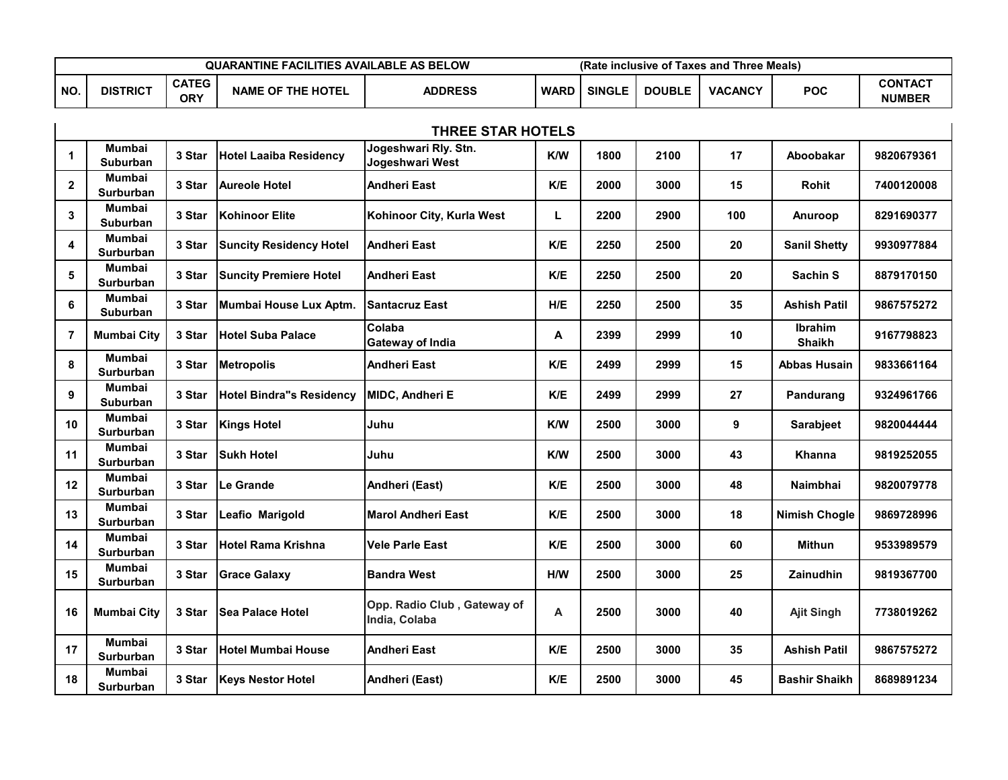|           |                 |                     | <b>QUARANTINE FACILITIES AVAILABLE AS BELOW</b> |                | (Rate inclusive of Taxes and Three Meals) |               |               |                |     |                                 |
|-----------|-----------------|---------------------|-------------------------------------------------|----------------|-------------------------------------------|---------------|---------------|----------------|-----|---------------------------------|
| <b>NO</b> | <b>DISTRICT</b> | <b>CATEG</b><br>ORY | <b>NAME OF THE HOTEL</b>                        | <b>ADDRESS</b> | <b>WARD</b>                               | <b>SINGLE</b> | <b>DOUBLE</b> | <b>VACANCY</b> | POC | <b>CONTACT</b><br><b>NUMBER</b> |

|                | <b>THREE STAR HOTELS</b><br>Jogeshwari Rly. Stn.<br><b>Mumbai</b> |        |                                 |                                              |            |      |      |     |                                 |            |  |  |
|----------------|-------------------------------------------------------------------|--------|---------------------------------|----------------------------------------------|------------|------|------|-----|---------------------------------|------------|--|--|
| $\mathbf 1$    | <b>Suburban</b>                                                   | 3 Star | <b>Hotel Laaiba Residency</b>   | Jogeshwari West                              | <b>K/W</b> | 1800 | 2100 | 17  | Aboobakar                       | 9820679361 |  |  |
| $\mathbf{2}$   | <b>Mumbai</b><br><b>Surburban</b>                                 | 3 Star | <b>Aureole Hotel</b>            | <b>Andheri East</b>                          | K/E        | 2000 | 3000 | 15  | Rohit                           | 7400120008 |  |  |
| 3              | <b>Mumbai</b><br><b>Suburban</b>                                  | 3 Star | <b>Kohinoor Elite</b>           | Kohinoor City, Kurla West                    | L          | 2200 | 2900 | 100 | Anuroop                         | 8291690377 |  |  |
| 4              | <b>Mumbai</b><br><b>Surburban</b>                                 | 3 Star | <b>Suncity Residency Hotel</b>  | Andheri East                                 | K/E        | 2250 | 2500 | 20  | <b>Sanil Shetty</b>             | 9930977884 |  |  |
| 5              | Mumbai<br><b>Surburban</b>                                        | 3 Star | <b>Suncity Premiere Hotel</b>   | Andheri East                                 | K/E        | 2250 | 2500 | 20  | Sachin S                        | 8879170150 |  |  |
| 6              | Mumbai<br><b>Suburban</b>                                         | 3 Star | Mumbai House Lux Aptm.          | <b>Santacruz East</b>                        | H/E        | 2250 | 2500 | 35  | <b>Ashish Patil</b>             | 9867575272 |  |  |
| $\overline{7}$ | <b>Mumbai City</b>                                                | 3 Star | <b>Hotel Suba Palace</b>        | Colaba<br><b>Gateway of India</b>            | A          | 2399 | 2999 | 10  | <b>Ibrahim</b><br><b>Shaikh</b> | 9167798823 |  |  |
| 8              | <b>Mumbai</b><br><b>Surburban</b>                                 | 3 Star | <b>Metropolis</b>               | <b>Andheri East</b>                          | K/E        | 2499 | 2999 | 15  | Abbas Husain                    | 9833661164 |  |  |
| 9              | Mumbai<br><b>Suburban</b>                                         | 3 Star | <b>Hotel Bindra"s Residency</b> | <b>MIDC, Andheri E</b>                       | K/E        | 2499 | 2999 | 27  | Pandurang                       | 9324961766 |  |  |
| 10             | Mumbai<br><b>Surburban</b>                                        | 3 Star | <b>Kings Hotel</b>              | Juhu                                         | <b>K/W</b> | 2500 | 3000 | 9   | Sarabjeet                       | 9820044444 |  |  |
| 11             | Mumbai<br><b>Surburban</b>                                        | 3 Star | <b>Sukh Hotel</b>               | Juhu                                         | <b>K/W</b> | 2500 | 3000 | 43  | Khanna                          | 9819252055 |  |  |
| 12             | <b>Mumbai</b><br><b>Surburban</b>                                 | 3 Star | Le Grande                       | Andheri (East)                               | K/E        | 2500 | 3000 | 48  | <b>Naimbhai</b>                 | 9820079778 |  |  |
| 13             | Mumbai<br>Surburban                                               | 3 Star | Leafio Marigold                 | <b>Marol Andheri East</b>                    | K/E        | 2500 | 3000 | 18  | <b>Nimish Chogle</b>            | 9869728996 |  |  |
| 14             | Mumbai<br><b>Surburban</b>                                        | 3 Star | <b>Hotel Rama Krishna</b>       | <b>Vele Parle East</b>                       | K/E        | 2500 | 3000 | 60  | <b>Mithun</b>                   | 9533989579 |  |  |
| 15             | Mumbai<br>Surburban                                               | 3 Star | <b>Grace Galaxy</b>             | <b>Bandra West</b>                           | H/M        | 2500 | 3000 | 25  | <b>Zainudhin</b>                | 9819367700 |  |  |
| 16             | <b>Mumbai City</b>                                                | 3 Star | <b>Sea Palace Hotel</b>         | Opp. Radio Club, Gateway of<br>India, Colaba | Α          | 2500 | 3000 | 40  | <b>Ajit Singh</b>               | 7738019262 |  |  |
| 17             | <b>Mumbai</b><br><b>Surburban</b>                                 | 3 Star | <b>Hotel Mumbai House</b>       | <b>Andheri East</b>                          | K/E        | 2500 | 3000 | 35  | Ashish Patil                    | 9867575272 |  |  |
| 18             | Mumbai<br><b>Surburban</b>                                        | 3 Star | <b>Keys Nestor Hotel</b>        | Andheri (East)                               | K/E        | 2500 | 3000 | 45  | <b>Bashir Shaikh</b>            | 8689891234 |  |  |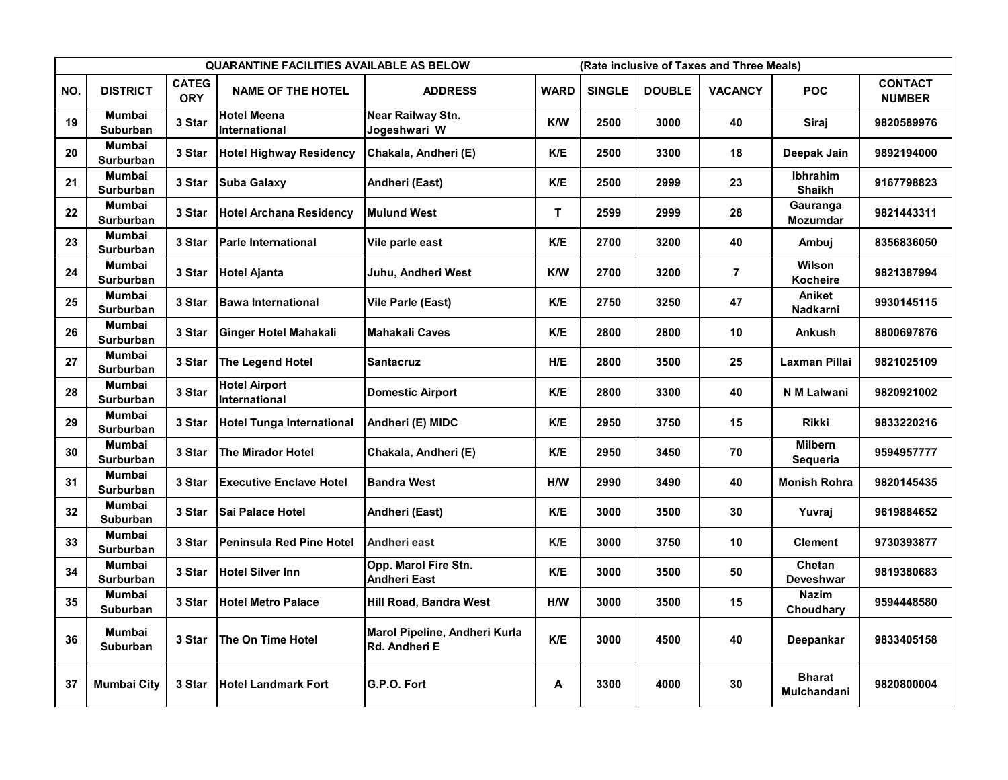|     |                                  |                            | <b>QUARANTINE FACILITIES AVAILABLE AS BELOW</b> |                                                |             |               |               | (Rate inclusive of Taxes and Three Meals) |                                  |                                 |
|-----|----------------------------------|----------------------------|-------------------------------------------------|------------------------------------------------|-------------|---------------|---------------|-------------------------------------------|----------------------------------|---------------------------------|
| NO. | <b>DISTRICT</b>                  | <b>CATEG</b><br><b>ORY</b> | <b>NAME OF THE HOTEL</b>                        | <b>ADDRESS</b>                                 | <b>WARD</b> | <b>SINGLE</b> | <b>DOUBLE</b> | <b>VACANCY</b>                            | <b>POC</b>                       | <b>CONTACT</b><br><b>NUMBER</b> |
| 19  | <b>Mumbai</b><br><b>Suburban</b> | 3 Star                     | <b>Hotel Meena</b><br>International             | Near Railway Stn.<br>Jogeshwari W              | <b>K/W</b>  | 2500          | 3000          | 40                                        | Siraj                            | 9820589976                      |
| 20  | <b>Mumbai</b><br>Surburban       | 3 Star                     | <b>Hotel Highway Residency</b>                  | Chakala, Andheri (E)                           | K/E         | 2500          | 3300          | 18                                        | Deepak Jain                      | 9892194000                      |
| 21  | <b>Mumbai</b><br>Surburban       | 3 Star                     | Suba Galaxy                                     | Andheri (East)                                 | K/E         | 2500          | 2999          | 23                                        | <b>Ibhrahim</b><br><b>Shaikh</b> | 9167798823                      |
| 22  | Mumbai<br>Surburban              | 3 Star                     | <b>Hotel Archana Residency</b>                  | <b>Mulund West</b>                             | T.          | 2599          | 2999          | 28                                        | Gauranga<br><b>Mozumdar</b>      | 9821443311                      |
| 23  | Mumbai<br>Surburban              | 3 Star                     | <b>Parle International</b>                      | Vile parle east                                | K/E         | 2700          | 3200          | 40                                        | Ambuj                            | 8356836050                      |
| 24  | Mumbai<br>Surburban              | 3 Star                     | <b>Hotel Ajanta</b>                             | Juhu, Andheri West                             | K/W         | 2700          | 3200          | $\overline{7}$                            | Wilson<br><b>Kocheire</b>        | 9821387994                      |
| 25  | <b>Mumbai</b><br>Surburban       | 3 Star                     | <b>Bawa International</b>                       | Vile Parle (East)                              | K/E         | 2750          | 3250          | 47                                        | Aniket<br>Nadkarni               | 9930145115                      |
| 26  | Mumbai<br><b>Surburban</b>       | 3 Star                     | <b>Ginger Hotel Mahakali</b>                    | Mahakali Caves                                 | K/E         | 2800          | 2800          | 10                                        | Ankush                           | 8800697876                      |
| 27  | Mumbai<br>Surburban              | 3 Star                     | The Legend Hotel                                | <b>Santacruz</b>                               | H/E         | 2800          | 3500          | 25                                        | Laxman Pillai                    | 9821025109                      |
| 28  | Mumbai<br><b>Surburban</b>       | 3 Star                     | <b>Hotel Airport</b><br><b>International</b>    | <b>Domestic Airport</b>                        | K/E         | 2800          | 3300          | 40                                        | N M Lalwani                      | 9820921002                      |
| 29  | Mumbai<br>Surburban              | 3 Star                     | <b>Hotel Tunga International</b>                | Andheri (E) MIDC                               | K/E         | 2950          | 3750          | 15                                        | Rikki                            | 9833220216                      |
| 30  | Mumbai<br><b>Surburban</b>       | 3 Star                     | <b>The Mirador Hotel</b>                        | Chakala, Andheri (E)                           | K/E         | 2950          | 3450          | 70                                        | <b>Milbern</b><br>Sequeria       | 9594957777                      |
| 31  | Mumbai<br><b>Surburban</b>       | 3 Star                     | <b>Executive Enclave Hotel</b>                  | <b>Bandra West</b>                             | H/W         | 2990          | 3490          | 40                                        | <b>Monish Rohra</b>              | 9820145435                      |
| 32  | Mumbai<br><b>Suburban</b>        | 3 Star                     | Sai Palace Hotel                                | Andheri (East)                                 | K/E         | 3000          | 3500          | 30                                        | Yuvraj                           | 9619884652                      |
| 33  | Mumbai<br>Surburban              | 3 Star                     | <b>Peninsula Red Pine Hotel</b>                 | Andheri east                                   | K/E         | 3000          | 3750          | 10                                        | <b>Clement</b>                   | 9730393877                      |
| 34  | Mumbai<br><b>Surburban</b>       | 3 Star                     | <b>Hotel Silver Inn</b>                         | Opp. Marol Fire Stn.<br><b>Andheri East</b>    | K/E         | 3000          | 3500          | 50                                        | Chetan<br><b>Deveshwar</b>       | 9819380683                      |
| 35  | Mumbai<br>Suburban               | 3 Star                     | <b>Hotel Metro Palace</b>                       | <b>Hill Road, Bandra West</b>                  | H/W         | 3000          | 3500          | 15                                        | Nazim<br>Choudhary               | 9594448580                      |
| 36  | Mumbai<br>Suburban               | 3 Star                     | The On Time Hotel                               | Marol Pipeline, Andheri Kurla<br>Rd. Andheri E | K/E         | 3000          | 4500          | 40                                        | Deepankar                        | 9833405158                      |
| 37  | <b>Mumbai City</b>               | 3 Star                     | <b>Hotel Landmark Fort</b>                      | G.P.O. Fort                                    | Α           | 3300          | 4000          | 30                                        | <b>Bharat</b><br>Mulchandani     | 9820800004                      |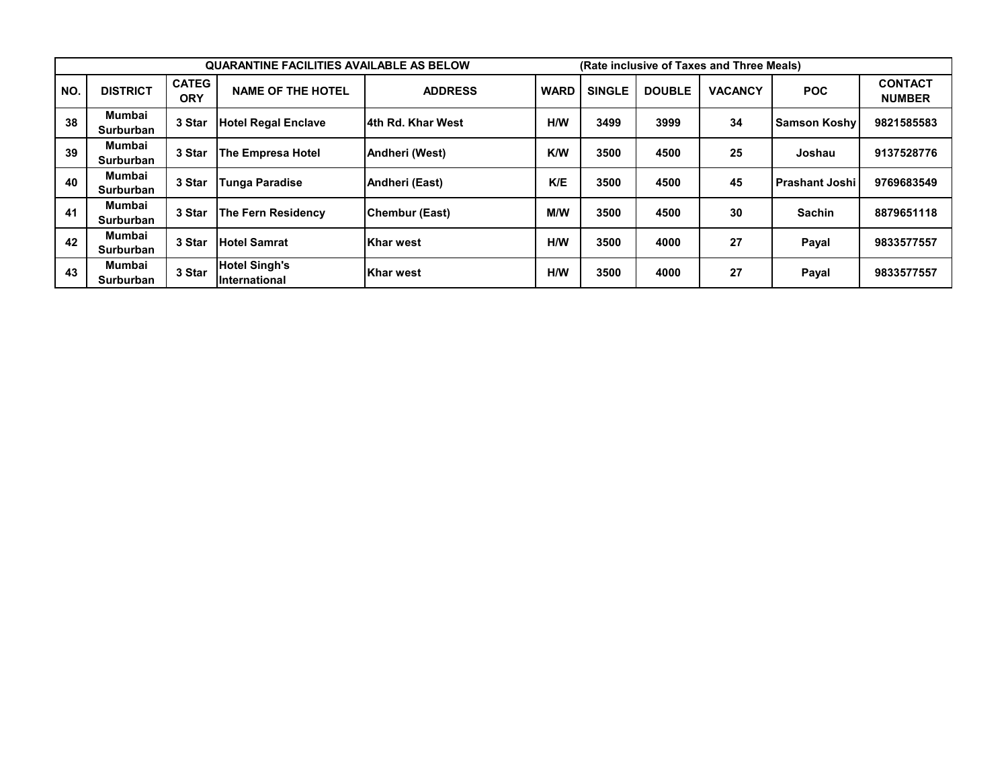|           |                            |                            | <b>QUARANTINE FACILITIES AVAILABLE AS BELOW</b> |                   |             |               |               | (Rate inclusive of Taxes and Three Meals) |                       |                                 |
|-----------|----------------------------|----------------------------|-------------------------------------------------|-------------------|-------------|---------------|---------------|-------------------------------------------|-----------------------|---------------------------------|
| <b>NO</b> | <b>DISTRICT</b>            | <b>CATEG</b><br><b>ORY</b> | <b>NAME OF THE HOTEL</b>                        | <b>ADDRESS</b>    | <b>WARD</b> | <b>SINGLE</b> | <b>DOUBLE</b> | <b>VACANCY</b>                            | <b>POC</b>            | <b>CONTACT</b><br><b>NUMBER</b> |
| 38        | Mumbai<br><b>Surburban</b> | 3 Star                     | <b>Hotel Regal Enclave</b>                      | 4th Rd. Khar West | H/W         | 3499          | 3999          | 34                                        | <b>Samson Koshy</b>   | 9821585583                      |
| 39        | Mumbai<br>Surburban        | 3 Star                     | The Empresa Hotel                               | Andheri (West)    | <b>K/W</b>  | 3500          | 4500          | 25                                        | Joshau                | 9137528776                      |
| 40        | Mumbai<br><b>Surburban</b> | 3 Star                     | <b>Tunga Paradise</b>                           | Andheri (East)    | K/E         | 3500          | 4500          | 45                                        | <b>Prashant Joshi</b> | 9769683549                      |
| 41        | Mumbai<br>Surburban        | 3 Star                     | <b>The Fern Residency</b>                       | Chembur (East)    | <b>M/W</b>  | 3500          | 4500          | 30                                        | <b>Sachin</b>         | 8879651118                      |
| 42        | Mumbai<br>Surburban        | 3 Star                     | <b>Hotel Samrat</b>                             | <b>Khar west</b>  | H/W         | 3500          | 4000          | 27                                        | Payal                 | 9833577557                      |
| 43        | Mumbai<br>Surburban        | 3 Star                     | <b>Hotel Singh's</b><br><b>International</b>    | <b>Khar west</b>  | H/W         | 3500          | 4000          | 27                                        | Payal                 | 9833577557                      |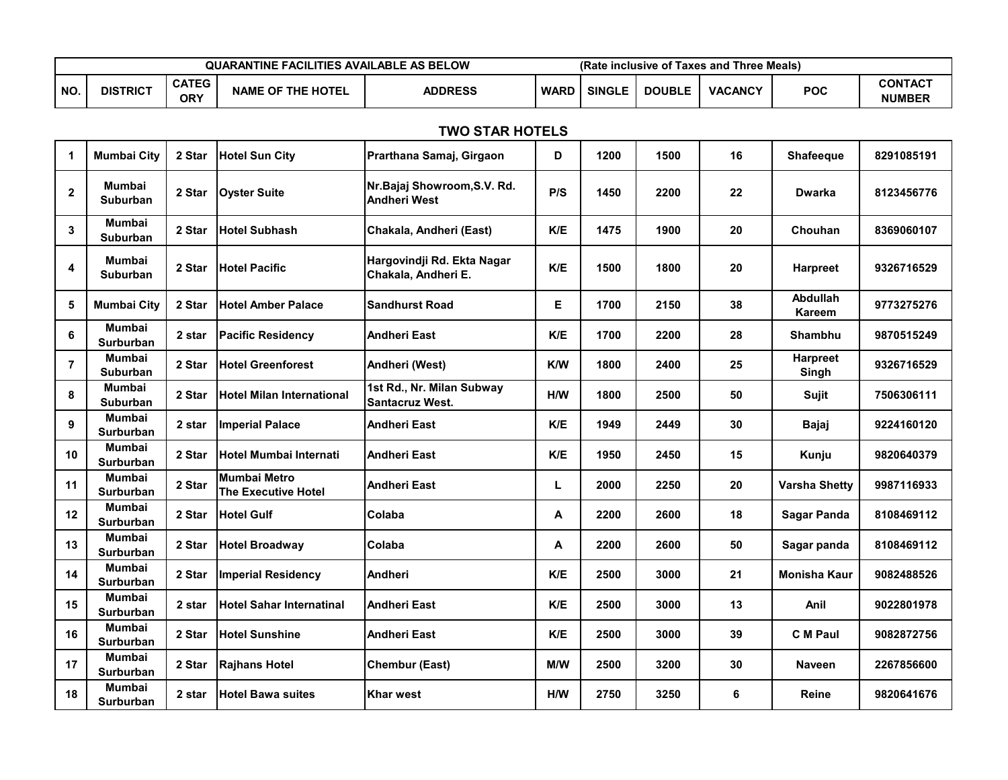|           | <b>QUARANTINE FACILITIES AVAILABLE AS BELOW</b> |                     |                   |                |      | (Rate inclusive of Taxes and Three Meals) |               |                |            |                                 |
|-----------|-------------------------------------------------|---------------------|-------------------|----------------|------|-------------------------------------------|---------------|----------------|------------|---------------------------------|
| <b>NO</b> | <b>DISTRICT</b>                                 | <b>CATEG</b><br>ORY | NAME OF THE HOTEL | <b>ADDRESS</b> | WARD | <b>SINGLE</b>                             | <b>DOUBLE</b> | <b>VACANCY</b> | <b>POC</b> | <b>CONTACT</b><br><b>NUMBER</b> |

## **TWO STAR HOTELS**

| $\mathbf 1$    | <b>Mumbai City</b>                | 2 Star | <b>Hotel Sun City</b>                             | Prarthana Samaj, Girgaon                            | D   | 1200 | 1500 | 16 | <b>Shafeeque</b>         | 8291085191 |
|----------------|-----------------------------------|--------|---------------------------------------------------|-----------------------------------------------------|-----|------|------|----|--------------------------|------------|
| $\mathbf{2}$   | Mumbai<br><b>Suburban</b>         | 2 Star | <b>Oyster Suite</b>                               | Nr. Bajaj Showroom, S.V. Rd.<br><b>Andheri West</b> | P/S | 1450 | 2200 | 22 | <b>Dwarka</b>            | 8123456776 |
| 3              | <b>Mumbai</b><br>Suburban         | 2 Star | <b>Hotel Subhash</b>                              | Chakala, Andheri (East)                             | K/E | 1475 | 1900 | 20 | Chouhan                  | 8369060107 |
| 4              | Mumbai<br><b>Suburban</b>         | 2 Star | <b>Hotel Pacific</b>                              | Hargovindji Rd. Ekta Nagar<br>Chakala, Andheri E.   | K/E | 1500 | 1800 | 20 | <b>Harpreet</b>          | 9326716529 |
| 5              | <b>Mumbai City</b>                | 2 Star | <b>Hotel Amber Palace</b>                         | <b>Sandhurst Road</b>                               | Е.  | 1700 | 2150 | 38 | Abdullah<br>Kareem       | 9773275276 |
| 6              | <b>Mumbai</b><br><b>Surburban</b> | 2 star | <b>Pacific Residency</b>                          | <b>Andheri East</b>                                 | K/E | 1700 | 2200 | 28 | Shambhu                  | 9870515249 |
| $\overline{7}$ | Mumbai<br>Suburban                | 2 Star | <b>Hotel Greenforest</b>                          | Andheri (West)                                      | K/W | 1800 | 2400 | 25 | <b>Harpreet</b><br>Singh | 9326716529 |
| 8              | Mumbai<br><b>Suburban</b>         | 2 Star | <b>Hotel Milan International</b>                  | 1st Rd., Nr. Milan Subway<br><b>Santacruz West.</b> | H/W | 1800 | 2500 | 50 | Sujit                    | 7506306111 |
| 9              | <b>Mumbai</b><br><b>Surburban</b> | 2 star | <b>Imperial Palace</b>                            | <b>Andheri East</b>                                 | K/E | 1949 | 2449 | 30 | <b>Bajaj</b>             | 9224160120 |
| 10             | <b>Mumbai</b><br><b>Surburban</b> | 2 Star | <b>Hotel Mumbai Internati</b>                     | <b>Andheri East</b>                                 | K/E | 1950 | 2450 | 15 | Kunju                    | 9820640379 |
| 11             | <b>Mumbai</b><br>Surburban        | 2 Star | <b>Mumbai Metro</b><br><b>The Executive Hotel</b> | <b>Andheri East</b>                                 | L   | 2000 | 2250 | 20 | <b>Varsha Shetty</b>     | 9987116933 |
| 12             | <b>Mumbai</b><br>Surburban        | 2 Star | <b>Hotel Gulf</b>                                 | Colaba                                              | A   | 2200 | 2600 | 18 | <b>Sagar Panda</b>       | 8108469112 |
| 13             | <b>Mumbai</b><br>Surburban        | 2 Star | <b>Hotel Broadway</b>                             | Colaba                                              | А   | 2200 | 2600 | 50 | Sagar panda              | 8108469112 |
| 14             | <b>Mumbai</b><br>Surburban        | 2 Star | <b>Imperial Residency</b>                         | <b>Andheri</b>                                      | K/E | 2500 | 3000 | 21 | <b>Monisha Kaur</b>      | 9082488526 |
| 15             | <b>Mumbai</b><br>Surburban        | 2 star | <b>Hotel Sahar Internatinal</b>                   | <b>Andheri East</b>                                 | K/E | 2500 | 3000 | 13 | Anil                     | 9022801978 |
| 16             | Mumbai<br>Surburban               | 2 Star | <b>Hotel Sunshine</b>                             | <b>Andheri East</b>                                 | K/E | 2500 | 3000 | 39 | <b>C</b> M Paul          | 9082872756 |
| 17             | Mumbai<br><b>Surburban</b>        | 2 Star | <b>Rajhans Hotel</b>                              | <b>Chembur (East)</b>                               | M/W | 2500 | 3200 | 30 | <b>Naveen</b>            | 2267856600 |
| 18             | Mumbai<br>Surburban               | 2 star | <b>Hotel Bawa suites</b>                          | <b>Khar west</b>                                    | H/W | 2750 | 3250 | 6  | Reine                    | 9820641676 |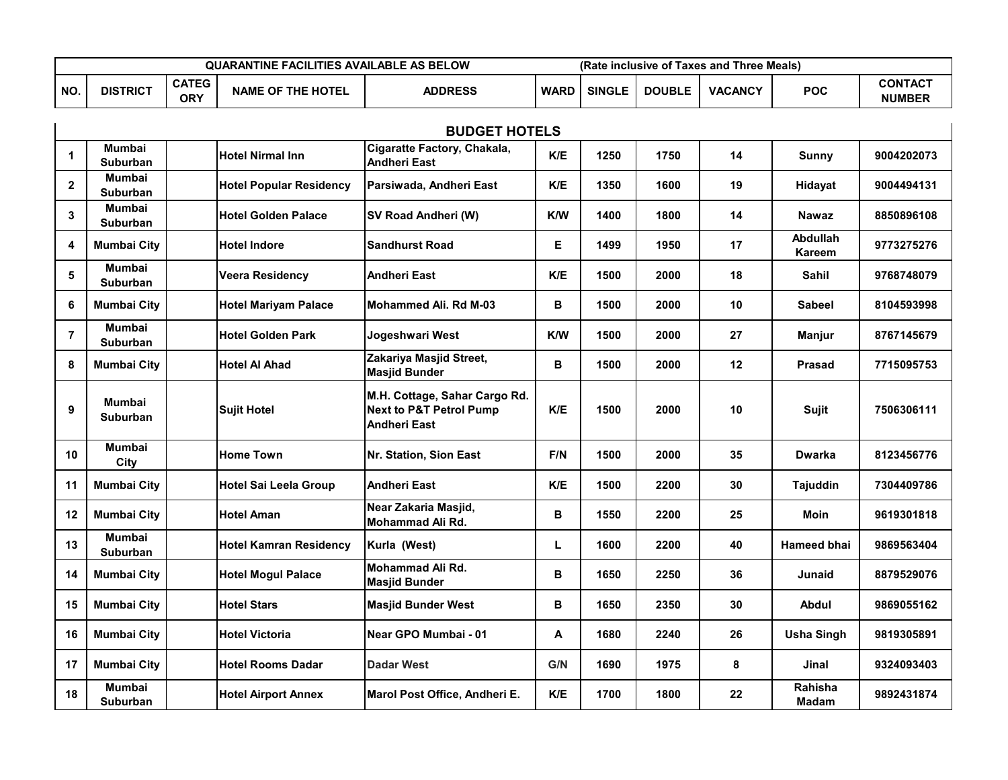|           | <b>QUARANTINE FACILITIES AVAILABLE AS BELOW</b><br>(Rate inclusive of Taxes and Three Meals) |                            |                          |                |             |               |               |                |            |                                 |
|-----------|----------------------------------------------------------------------------------------------|----------------------------|--------------------------|----------------|-------------|---------------|---------------|----------------|------------|---------------------------------|
| <b>NO</b> | <b>DISTRICT</b>                                                                              | <b>CATEG</b><br><b>ORY</b> | <b>NAME OF THE HOTEL</b> | <b>ADDRESS</b> | <b>WARD</b> | <b>SINGLE</b> | <b>DOUBLE</b> | <b>VACANCY</b> | <b>POC</b> | <b>CONTACT</b><br><b>NUMBER</b> |

| <b>BUDGET HOTELS</b> |                                  |                                |                                                                                            |            |      |      |         |                           |            |
|----------------------|----------------------------------|--------------------------------|--------------------------------------------------------------------------------------------|------------|------|------|---------|---------------------------|------------|
| 1                    | <b>Mumbai</b><br>Suburban        | <b>Hotel Nirmal Inn</b>        | Cigaratte Factory, Chakala,<br><b>Andheri East</b>                                         | K/E        | 1250 | 1750 | 14      | Sunny                     | 9004202073 |
| $\mathbf{2}$         | Mumbai<br>Suburban               | <b>Hotel Popular Residency</b> | Parsiwada, Andheri East                                                                    | K/E        | 1350 | 1600 | 19      | Hidayat                   | 9004494131 |
| 3                    | Mumbai<br><b>Suburban</b>        | <b>Hotel Golden Palace</b>     | SV Road Andheri (W)                                                                        | <b>K/W</b> | 1400 | 1800 | 14      | <b>Nawaz</b>              | 8850896108 |
| 4                    | <b>Mumbai City</b>               | <b>Hotel Indore</b>            | <b>Sandhurst Road</b>                                                                      | Е          | 1499 | 1950 | 17      | Abdullah<br><b>Kareem</b> | 9773275276 |
| 5                    | <b>Mumbai</b><br><b>Suburban</b> | <b>Veera Residency</b>         | <b>Andheri East</b>                                                                        | K/E        | 1500 | 2000 | 18      | <b>Sahil</b>              | 9768748079 |
| 6                    | <b>Mumbai City</b>               | <b>Hotel Mariyam Palace</b>    | Mohammed Ali. Rd M-03                                                                      | в          | 1500 | 2000 | 10      | Sabeel                    | 8104593998 |
| $\overline{7}$       | Mumbai<br>Suburban               | <b>Hotel Golden Park</b>       | Jogeshwari West                                                                            | K/W        | 1500 | 2000 | 27      | <b>Manjur</b>             | 8767145679 |
| 8                    | <b>Mumbai City</b>               | <b>Hotel Al Ahad</b>           | Zakariya Masjid Street,<br><b>Masjid Bunder</b>                                            | в          | 1500 | 2000 | 12      | <b>Prasad</b>             | 7715095753 |
| 9                    | Mumbai<br>Suburban               | <b>Sujit Hotel</b>             | M.H. Cottage, Sahar Cargo Rd.<br><b>Next to P&amp;T Petrol Pump</b><br><b>Andheri East</b> | K/E        | 1500 | 2000 | 10      | <b>Sujit</b>              | 7506306111 |
| 10                   | Mumbai<br>City                   | <b>Home Town</b>               | Nr. Station, Sion East                                                                     | F/N        | 1500 | 2000 | 35      | <b>Dwarka</b>             | 8123456776 |
| 11                   | <b>Mumbai City</b>               | <b>Hotel Sai Leela Group</b>   | Andheri East                                                                               | K/E        | 1500 | 2200 | 30      | Tajuddin                  | 7304409786 |
| 12                   | <b>Mumbai City</b>               | <b>Hotel Aman</b>              | Near Zakaria Masjid,<br>Mohammad Ali Rd.                                                   | В          | 1550 | 2200 | 25      | Moin                      | 9619301818 |
| 13                   | <b>Mumbai</b><br>Suburban        | <b>Hotel Kamran Residency</b>  | Kurla (West)                                                                               | L.         | 1600 | 2200 | 40      | <b>Hameed bhai</b>        | 9869563404 |
| 14                   | <b>Mumbai City</b>               | <b>Hotel Mogul Palace</b>      | Mohammad Ali Rd.<br><b>Masjid Bunder</b>                                                   | в          | 1650 | 2250 | 36      | Junaid                    | 8879529076 |
| 15                   | <b>Mumbai City</b>               | <b>Hotel Stars</b>             | <b>Masjid Bunder West</b>                                                                  | В          | 1650 | 2350 | 30      | <b>Abdul</b>              | 9869055162 |
| 16                   | <b>Mumbai City</b>               | <b>Hotel Victoria</b>          | Near GPO Mumbai - 01                                                                       | А          | 1680 | 2240 | 26      | <b>Usha Singh</b>         | 9819305891 |
| 17                   | <b>Mumbai City</b>               | <b>Hotel Rooms Dadar</b>       | <b>Dadar West</b>                                                                          | G/N        | 1690 | 1975 | 8       | Jinal                     | 9324093403 |
| 18                   | Mumbai<br><b>Suburban</b>        | <b>Hotel Airport Annex</b>     | Marol Post Office, Andheri E.                                                              | K/E        | 1700 | 1800 | $22 \,$ | Rahisha<br><b>Madam</b>   | 9892431874 |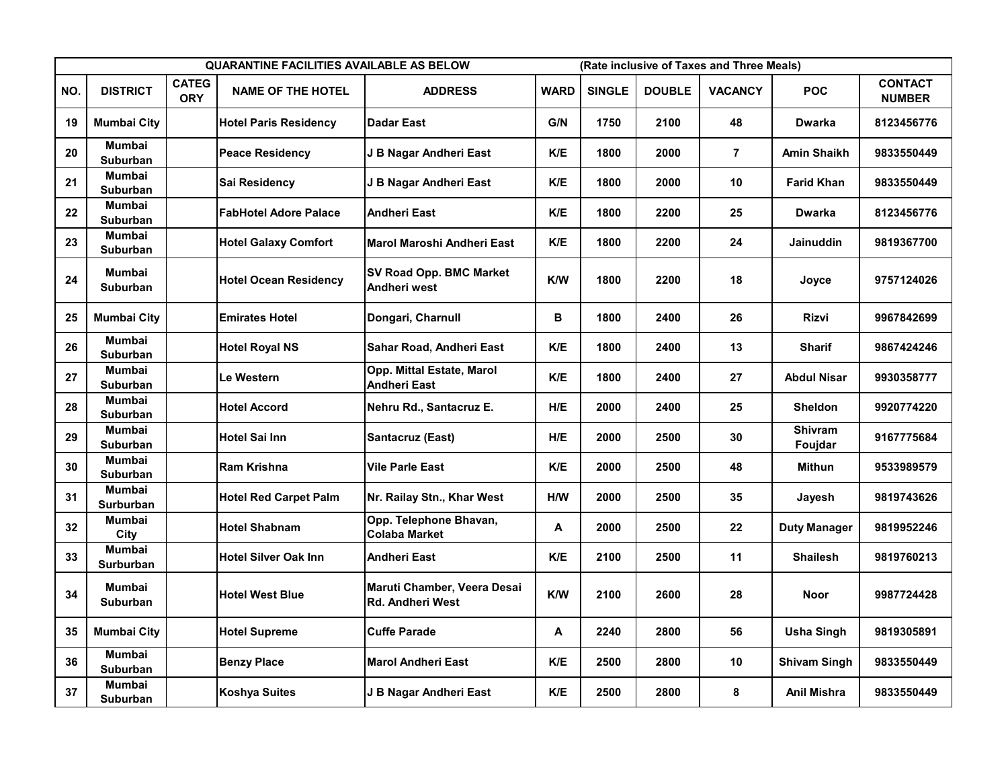|     | <b>QUARANTINE FACILITIES AVAILABLE AS BELOW</b> |                            |                              |                                                        |             |               | (Rate inclusive of Taxes and Three Meals) |                |                           |                                 |  |  |
|-----|-------------------------------------------------|----------------------------|------------------------------|--------------------------------------------------------|-------------|---------------|-------------------------------------------|----------------|---------------------------|---------------------------------|--|--|
| NO. | <b>DISTRICT</b>                                 | <b>CATEG</b><br><b>ORY</b> | <b>NAME OF THE HOTEL</b>     | <b>ADDRESS</b>                                         | <b>WARD</b> | <b>SINGLE</b> | <b>DOUBLE</b>                             | <b>VACANCY</b> | <b>POC</b>                | <b>CONTACT</b><br><b>NUMBER</b> |  |  |
| 19  | <b>Mumbai City</b>                              |                            | <b>Hotel Paris Residency</b> | <b>Dadar East</b>                                      | G/N         | 1750          | 2100                                      | 48             | <b>Dwarka</b>             | 8123456776                      |  |  |
| 20  | <b>Mumbai</b><br><b>Suburban</b>                |                            | <b>Peace Residency</b>       | J B Nagar Andheri East                                 | K/E         | 1800          | 2000                                      | $\overline{7}$ | <b>Amin Shaikh</b>        | 9833550449                      |  |  |
| 21  | <b>Mumbai</b><br>Suburban                       |                            | Sai Residencv                | J B Nagar Andheri East                                 | K/E         | 1800          | 2000                                      | 10             | Farid Khan                | 9833550449                      |  |  |
| 22  | <b>Mumbai</b><br><b>Suburban</b>                |                            | <b>FabHotel Adore Palace</b> | <b>Andheri East</b>                                    | K/E         | 1800          | 2200                                      | 25             | <b>Dwarka</b>             | 8123456776                      |  |  |
| 23  | Mumbai<br>Suburban                              |                            | <b>Hotel Galaxy Comfort</b>  | Marol Maroshi Andheri East                             | K/E         | 1800          | 2200                                      | 24             | Jainuddin                 | 9819367700                      |  |  |
| 24  | Mumbai<br><b>Suburban</b>                       |                            | <b>Hotel Ocean Residency</b> | <b>SV Road Opp. BMC Market</b><br>Andheri west         | <b>K/W</b>  | 1800          | 2200                                      | 18             | Joyce                     | 9757124026                      |  |  |
| 25  | <b>Mumbai City</b>                              |                            | <b>Emirates Hotel</b>        | Dongari, Charnull                                      | В           | 1800          | 2400                                      | 26             | Rizvi                     | 9967842699                      |  |  |
| 26  | <b>Mumbai</b><br><b>Suburban</b>                |                            | <b>Hotel Royal NS</b>        | Sahar Road, Andheri East                               | K/E         | 1800          | 2400                                      | 13             | <b>Sharif</b>             | 9867424246                      |  |  |
| 27  | <b>Mumbai</b><br><b>Suburban</b>                |                            | Le Western                   | Opp. Mittal Estate, Marol<br><b>Andheri East</b>       | K/E         | 1800          | 2400                                      | 27             | <b>Abdul Nisar</b>        | 9930358777                      |  |  |
| 28  | Mumbai<br><b>Suburban</b>                       |                            | <b>Hotel Accord</b>          | Nehru Rd., Santacruz E.                                | H/E         | 2000          | 2400                                      | 25             | <b>Sheldon</b>            | 9920774220                      |  |  |
| 29  | Mumbai<br><b>Suburban</b>                       |                            | <b>Hotel Sai Inn</b>         | Santacruz (East)                                       | H/E         | 2000          | 2500                                      | 30             | <b>Shivram</b><br>Foujdar | 9167775684                      |  |  |
| 30  | <b>Mumbai</b><br>Suburban                       |                            | Ram Krishna                  | <b>Vile Parle East</b>                                 | K/E         | 2000          | 2500                                      | 48             | Mithun                    | 9533989579                      |  |  |
| 31  | <b>Mumbai</b><br><b>Surburban</b>               |                            | <b>Hotel Red Carpet Palm</b> | Nr. Railay Stn., Khar West                             | H/W         | 2000          | 2500                                      | 35             | Jayesh                    | 9819743626                      |  |  |
| 32  | Mumbai<br>City                                  |                            | <b>Hotel Shabnam</b>         | Opp. Telephone Bhavan,<br><b>Colaba Market</b>         | A           | 2000          | 2500                                      | 22             | <b>Duty Manager</b>       | 9819952246                      |  |  |
| 33  | <b>Mumbai</b><br><b>Surburban</b>               |                            | <b>Hotel Silver Oak Inn</b>  | <b>Andheri East</b>                                    | K/E         | 2100          | 2500                                      | 11             | <b>Shailesh</b>           | 9819760213                      |  |  |
| 34  | Mumbai<br><b>Suburban</b>                       |                            | <b>Hotel West Blue</b>       | Maruti Chamber, Veera Desai<br><b>Rd. Andheri West</b> | K/W         | 2100          | 2600                                      | 28             | <b>Noor</b>               | 9987724428                      |  |  |
| 35  | <b>Mumbai City</b>                              |                            | Hotel Supreme                | <b>Cuffe Parade</b>                                    | A           | 2240          | 2800                                      | 56             | Usha Singh                | 9819305891                      |  |  |
| 36  | Mumbai<br>Suburban                              |                            | <b>Benzy Place</b>           | <b>Marol Andheri East</b>                              | K/E         | 2500          | 2800                                      | 10             | <b>Shivam Singh</b>       | 9833550449                      |  |  |
| 37  | Mumbai<br>Suburban                              |                            | <b>Koshya Suites</b>         | J B Nagar Andheri East                                 | K/E         | 2500          | 2800                                      | 8              | Anil Mishra               | 9833550449                      |  |  |